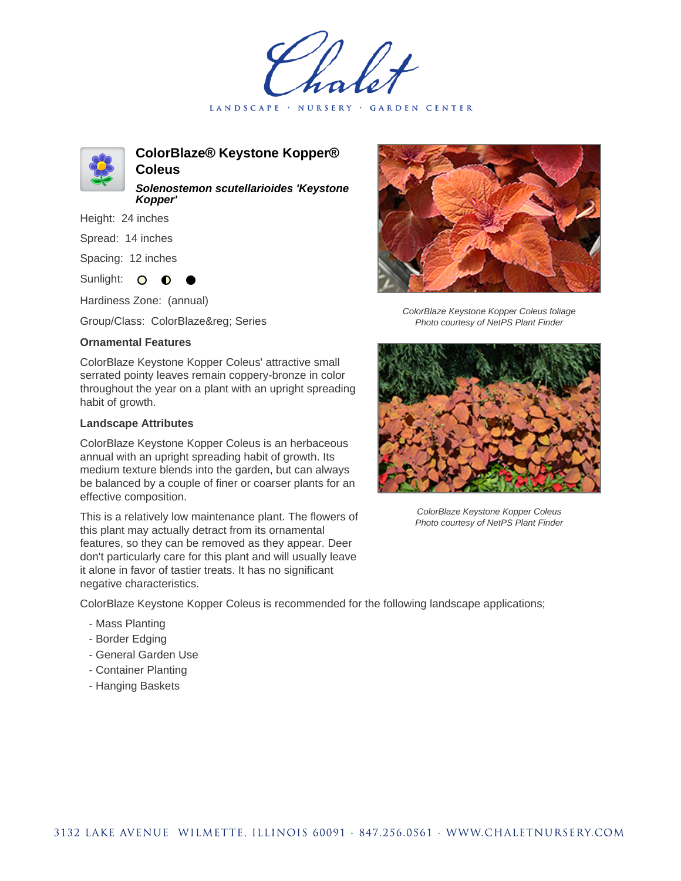LANDSCAPE · NURSERY · GARDEN CENTER



**ColorBlaze® Keystone Kopper® Coleus Solenostemon scutellarioides 'Keystone**

Height: 24 inches

Spread: 14 inches

Spacing: 12 inches

Sunlight: O **O** 

Hardiness Zone: (annual)

**Kopper'**

Group/Class: ColorBlaze® Series

## **Ornamental Features**

ColorBlaze Keystone Kopper Coleus' attractive small serrated pointy leaves remain coppery-bronze in color throughout the year on a plant with an upright spreading habit of growth.

## **Landscape Attributes**

ColorBlaze Keystone Kopper Coleus is an herbaceous annual with an upright spreading habit of growth. Its medium texture blends into the garden, but can always be balanced by a couple of finer or coarser plants for an effective composition.

This is a relatively low maintenance plant. The flowers of this plant may actually detract from its ornamental features, so they can be removed as they appear. Deer don't particularly care for this plant and will usually leave it alone in favor of tastier treats. It has no significant negative characteristics.



ColorBlaze Keystone Kopper Coleus foliage Photo courtesy of NetPS Plant Finder



ColorBlaze Keystone Kopper Coleus Photo courtesy of NetPS Plant Finder

ColorBlaze Keystone Kopper Coleus is recommended for the following landscape applications;

- Mass Planting
- Border Edging
- General Garden Use
- Container Planting
- Hanging Baskets